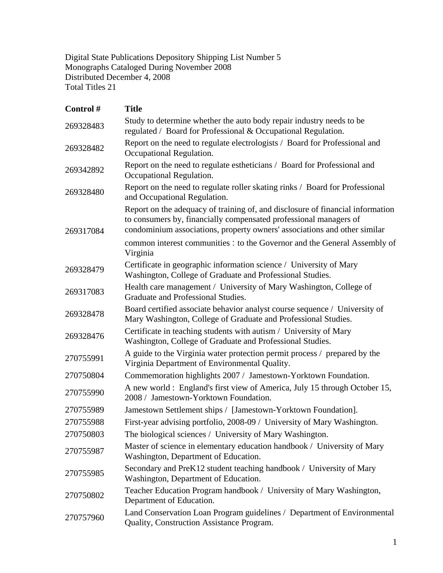Digital State Publications Depository Shipping List Number 5 Monographs Cataloged During November 2008 Distributed December 4, 2008 Total Titles 21

| Control#  | <b>Title</b>                                                                                                                                                                                                                     |
|-----------|----------------------------------------------------------------------------------------------------------------------------------------------------------------------------------------------------------------------------------|
| 269328483 | Study to determine whether the auto body repair industry needs to be<br>regulated / Board for Professional & Occupational Regulation.                                                                                            |
| 269328482 | Report on the need to regulate electrologists / Board for Professional and<br>Occupational Regulation.                                                                                                                           |
| 269342892 | Report on the need to regulate estheticians / Board for Professional and<br>Occupational Regulation.                                                                                                                             |
| 269328480 | Report on the need to regulate roller skating rinks / Board for Professional<br>and Occupational Regulation.                                                                                                                     |
| 269317084 | Report on the adequacy of training of, and disclosure of financial information<br>to consumers by, financially compensated professional managers of<br>condominium associations, property owners' associations and other similar |
|           | common interest communities : to the Governor and the General Assembly of<br>Virginia                                                                                                                                            |
| 269328479 | Certificate in geographic information science / University of Mary<br>Washington, College of Graduate and Professional Studies.                                                                                                  |
| 269317083 | Health care management / University of Mary Washington, College of<br>Graduate and Professional Studies.                                                                                                                         |
| 269328478 | Board certified associate behavior analyst course sequence / University of<br>Mary Washington, College of Graduate and Professional Studies.                                                                                     |
| 269328476 | Certificate in teaching students with autism / University of Mary<br>Washington, College of Graduate and Professional Studies.                                                                                                   |
| 270755991 | A guide to the Virginia water protection permit process / prepared by the<br>Virginia Department of Environmental Quality.                                                                                                       |
| 270750804 | Commemoration highlights 2007 / Jamestown-Yorktown Foundation.                                                                                                                                                                   |
| 270755990 | A new world: England's first view of America, July 15 through October 15,<br>2008 / Jamestown-Yorktown Foundation.                                                                                                               |
| 270755989 | Jamestown Settlement ships / [Jamestown-Yorktown Foundation].                                                                                                                                                                    |
| 270755988 | First-year advising portfolio, 2008-09 / University of Mary Washington.                                                                                                                                                          |
| 270750803 | The biological sciences / University of Mary Washington.                                                                                                                                                                         |
| 270755987 | Master of science in elementary education handbook / University of Mary<br>Washington, Department of Education.                                                                                                                  |
| 270755985 | Secondary and PreK12 student teaching handbook / University of Mary<br>Washington, Department of Education.                                                                                                                      |
| 270750802 | Teacher Education Program handbook / University of Mary Washington,<br>Department of Education.                                                                                                                                  |
| 270757960 | Land Conservation Loan Program guidelines / Department of Environmental<br>Quality, Construction Assistance Program.                                                                                                             |